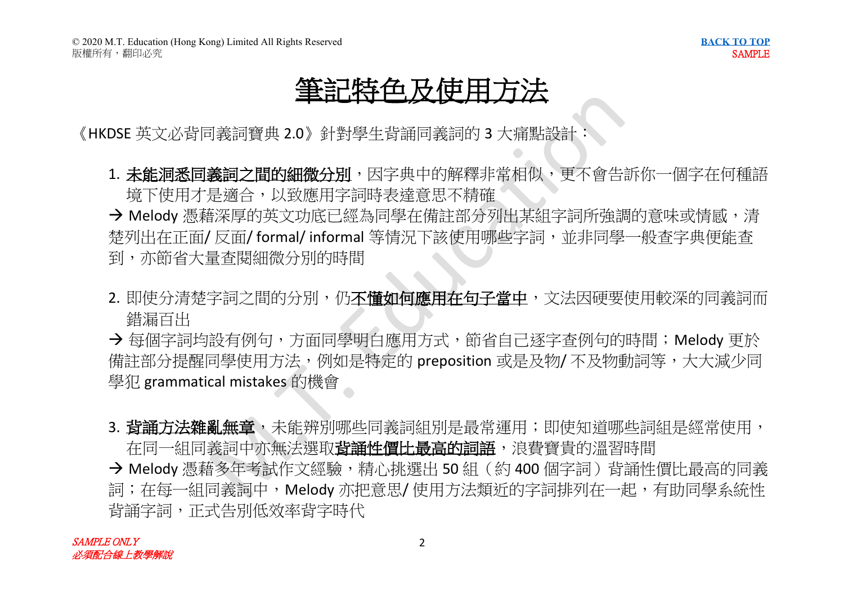### 筆記特色及使用

《HKDSE 英文必背同義詞寶典 2.0》針對學生背誦同義詞的 3 大痛點設計

1. 未能洞悉同義詞之間的細微分別,因字典中的解釋非常相似,更不會告訴你一個字在何種語 境下使用才是滴合,以致應用字詞時表達意思不精確

→ Melody 憑藉深厚的英文功底已經為同學在備註部分列出某組字詞所強調的意味或情感,清 楚列出在正面/ 反面/ formal/ informal 等情況下該使用哪些字詞, 並非同學一般查字典便能查 到、亦節省大量杳閣細微分別的時間

2. 即使分清楚字詞之間的分別, 仍不懂如何應用在句子當中, 文法因硬要使用較深的同義詞而 錯漏百出

→ 每個字詞均設有例句,方面同學明白應用方式,節省自己逐字查例句的時間;Melody 更於 備註部分提醒同學使用方法,例如是特定的 preposition 或是及物/ 不及物動詞等,大大減少同 學犯 grammatical mistakes 的機會

3. **蚩誦方法雜亂無童**,未能辨別哪些同義詞組別是最常運用;即使知道哪些詞組是經常使用, 在同一組同義詞中亦無法選取費誦性價比最高的詞語,浪費寶貴的溫習時間

→ Melody 憑藉多年考試作文經驗,精心挑選出 50 組 (約 400 個字詞) 背誦性價比最高的同義 詞;在每一組同義詞中,Melody 亦把意思/ 使用方法類近的字詞排列在一起,有助同學系統性 **背**誦字詞, 正式告別低效率背字時代

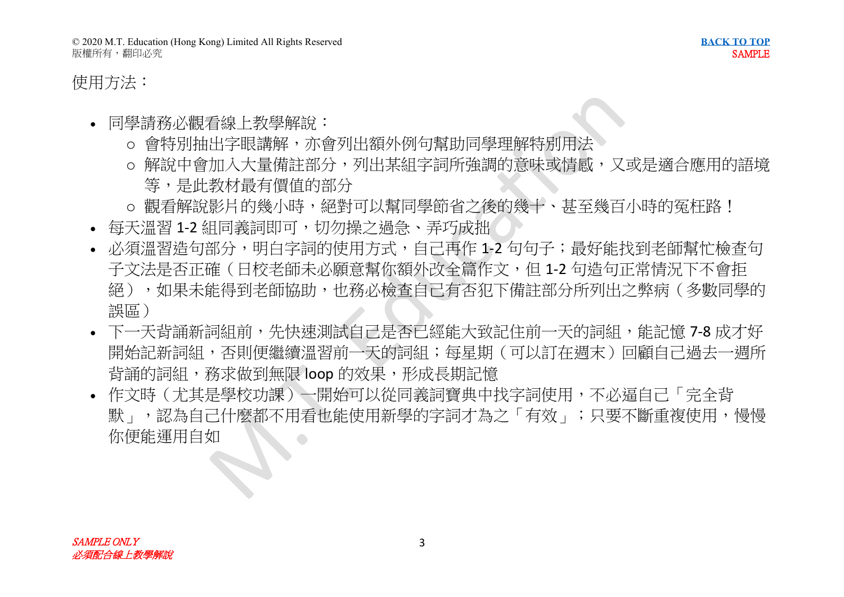### 使用方法:

- 同學請務必觀看線上教學解說:
	- o 會特別抽出字眼講解,亦會列出額外例句幫助同學理解特別用法
	- o 解說中會加入大量備註部分,列出某組字詞所強調的意味或情感,又或是滴合應用的語境 等,是此教材最有價值的部分
	- o 觀看解說影片的幾小時, 絕對可以幫同學節省之後的幾十、甚至幾百小時的冤枉路!
- 每天溫習 1-2 組同義詞即可, 切勿操之過急、弄巧成拙
- 必須溫習浩句部分,明白字詞的使用方式,自己再作 1-2 句句子;最好能找到老師幫忙檢杳句 子文法是否正確(日校老師未必願意幫你額外改全篇作文,但 1-2 句造句正常情況下不會拒 絕),如果未能得到老師協助,也務必檢查自己有否犯下備註部分所列出之弊病(多數同學的 誤區)
- 下一天背誦新詞組前,先快速測試自己是否已經能大致記住前一天的詞組,能記憶 7-8 成才好 開始記新詞組,否則便繼續溫習前一天的詞組;每星期(可以訂在週末)回顧自己過去一週所 背誦的詞組,務求做到無限 loop 的效果,形成長期記憶
- 作文時(尤其是學校功課)一開始可以從同義詞寶典中找字詞使用,不必逼自己「完全背 默」,認為自己什麼都不用看也能使用新學的字詞才為之「有效」;只要不斷重複使用,慢慢 你便能運用自如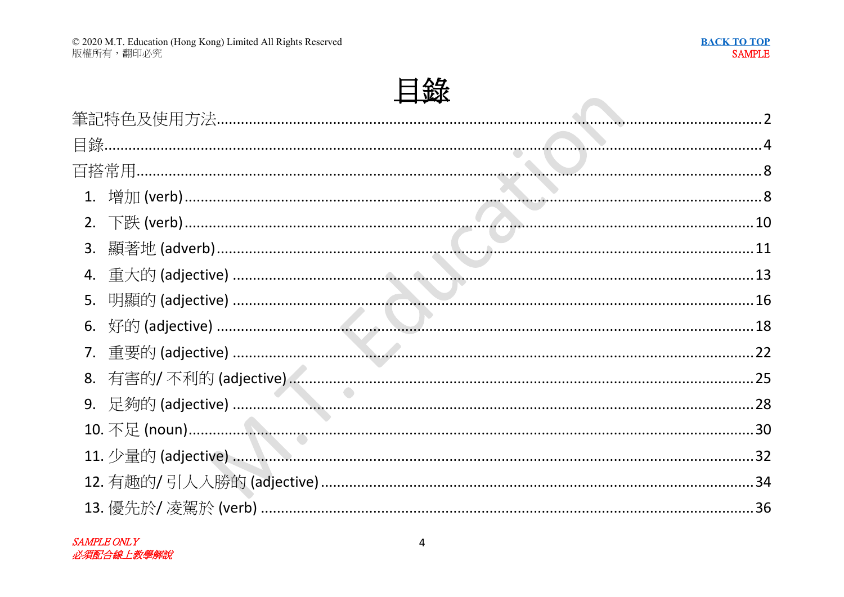**Contract Contract** 



| 3. |  |  |
|----|--|--|
|    |  |  |
| 5. |  |  |
| 6. |  |  |
| 7. |  |  |
| 8. |  |  |
|    |  |  |
|    |  |  |
|    |  |  |
|    |  |  |
|    |  |  |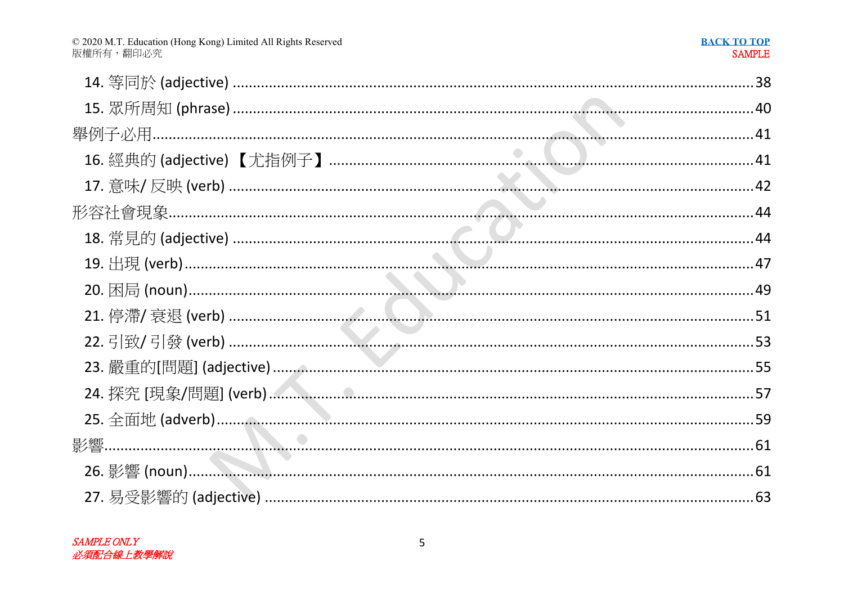| © 2020 M.T. Education (Hong Kong) Limited All Rights Reserved |
|---------------------------------------------------------------|
| 版權所有,翻印必究                                                     |

#### **BACK TO TOP SAMPLE**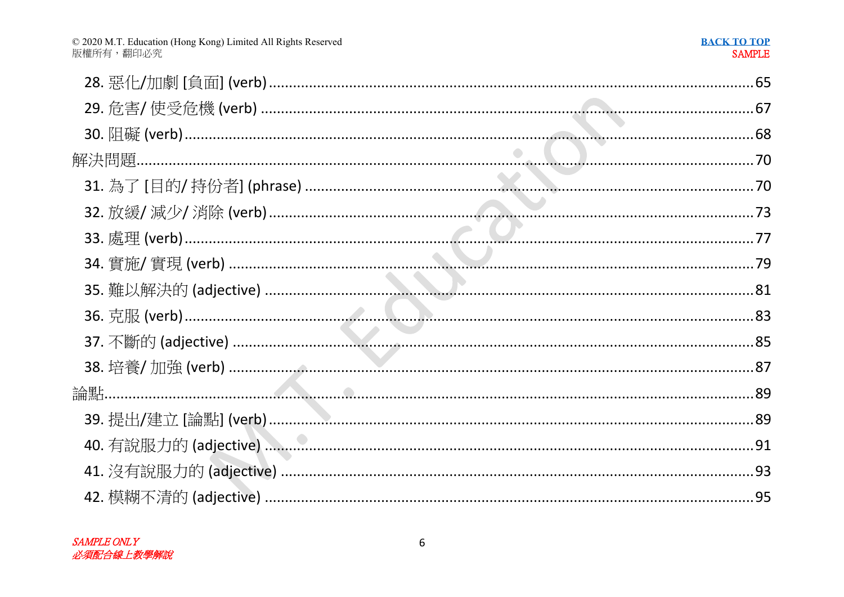## **BACK TO TOP**<br>SAMPLE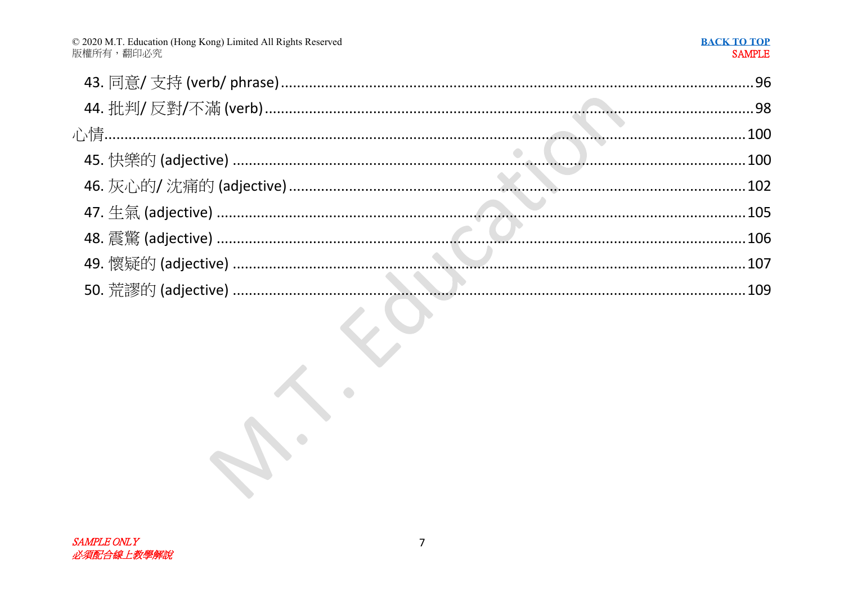$\mathcal{C}$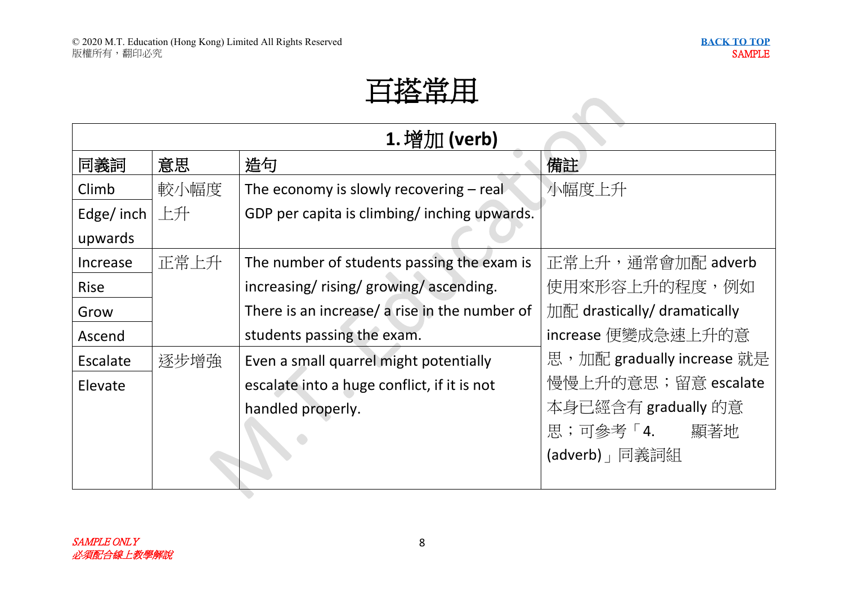$\blacktriangledown$ 

# 百搭常用

| 1. 增加 (verb) |      |                                               |                              |  |
|--------------|------|-----------------------------------------------|------------------------------|--|
| 同義詞          | 意思   | 造句                                            | 備註                           |  |
| Climb        | 較小幅度 | The economy is slowly recovering – real       | 小幅度上升                        |  |
| Edge/inch    | 上升   | GDP per capita is climbing/inching upwards.   |                              |  |
| upwards      |      |                                               |                              |  |
| Increase     | 正常上升 | The number of students passing the exam is    | 正常上升,通常會加配 adverb            |  |
| <b>Rise</b>  |      | increasing/rising/growing/ascending.          | 使用來形容上升的程度,例如                |  |
| Grow         |      | There is an increase/ a rise in the number of | 加配 drastically/ dramatically |  |
| Ascend       |      | students passing the exam.                    | increase 便變成急速上升的意           |  |
| Escalate     | 逐步增強 | Even a small quarrel might potentially        | 思,加配 gradually increase 就是   |  |
| Elevate      |      | escalate into a huge conflict, if it is not   | 慢慢上升的意思;留意 escalate          |  |
|              |      | handled properly.                             | 本身已經含有 gradually 的意          |  |
|              |      |                                               | 思;可參考「4.<br>顯著地              |  |
|              |      |                                               | (adverb)   同義詞組              |  |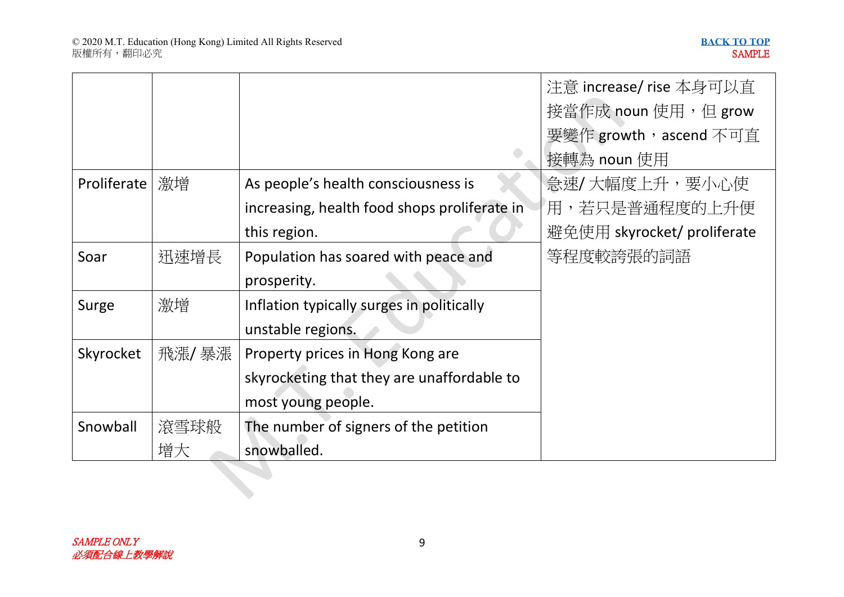|             |        |                                              | 注意 increase/ rise 本身可以直     |
|-------------|--------|----------------------------------------------|-----------------------------|
|             |        |                                              | 接當作成 noun 使用,但 grow         |
|             |        |                                              | 要變作 growth, ascend 不可直      |
|             |        |                                              | 接轉為 noun 使用                 |
| Proliferate | 激增     | As people's health consciousness is          | 急速/大幅度上升,要小心使               |
|             |        | increasing, health food shops proliferate in | 用,若只是普通程度的上升便               |
|             |        | this region.                                 | 避免使用 skyrocket/ proliferate |
| Soar        | 迅速增長   | Population has soared with peace and         | 等程度較誇張的詞語                   |
|             |        | prosperity.                                  |                             |
| Surge       | 激增     | Inflation typically surges in politically    |                             |
|             |        | unstable regions.                            |                             |
| Skyrocket   | 飛漲/ 暴漲 | Property prices in Hong Kong are             |                             |
|             |        | skyrocketing that they are unaffordable to   |                             |
|             |        | most young people.                           |                             |
| Snowball    | 滾雪球般   | The number of signers of the petition        |                             |
|             | 增大     | snowballed.                                  |                             |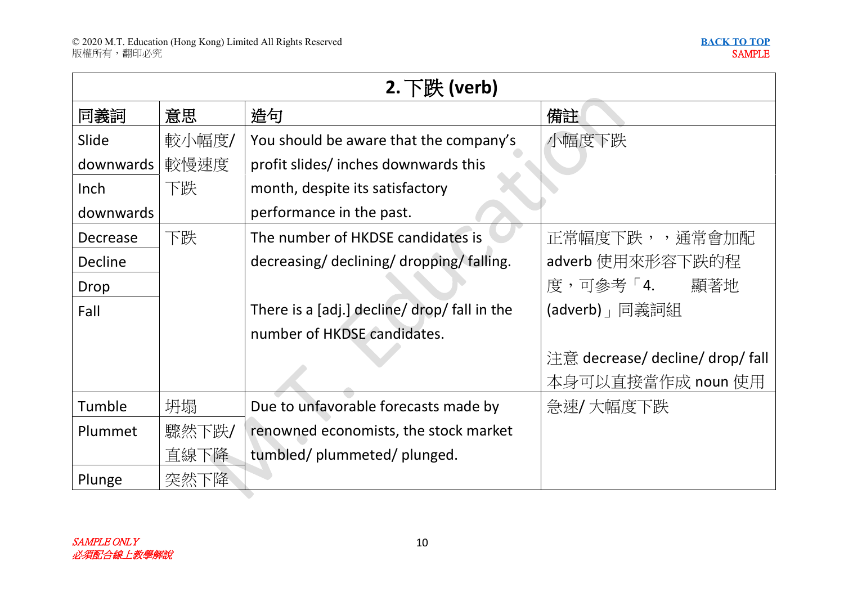| $2.$ 下跌 (verb) |       |                                              |                                  |  |
|----------------|-------|----------------------------------------------|----------------------------------|--|
| 同義詞            | 意思    | 造句                                           | 備註                               |  |
| Slide          | 較小幅度/ | You should be aware that the company's       | 小幅度下跌                            |  |
| downwards      | 較慢速度  | profit slides/inches downwards this          |                                  |  |
| Inch           | 下跌    | month, despite its satisfactory              |                                  |  |
| downwards      |       | performance in the past.                     |                                  |  |
| Decrease       | 下跌    | The number of HKDSE candidates is            | 正常幅度下跌,,通常會加配                    |  |
| Decline        |       | decreasing/declining/dropping/falling.       | adverb 使用來形容下跌的程                 |  |
| Drop           |       |                                              | 度,可參考「4.<br>顯著地                  |  |
| Fall           |       | There is a [adj.] decline/ drop/ fall in the | (adverb) 」 同義詞組                  |  |
|                |       | number of HKDSE candidates.                  |                                  |  |
|                |       |                                              | 注意 decrease/ decline/ drop/ fall |  |
|                |       |                                              | 本身可以直接當作成 noun 使用                |  |
| Tumble         | 坍塌    | Due to unfavorable forecasts made by         | 急速/大幅度下跌                         |  |
| Plummet        | 驟然下跌/ | renowned economists, the stock market        |                                  |  |
|                | 直線下降  | tumbled/plummeted/plunged.                   |                                  |  |
| Plunge         | 突然下降  |                                              |                                  |  |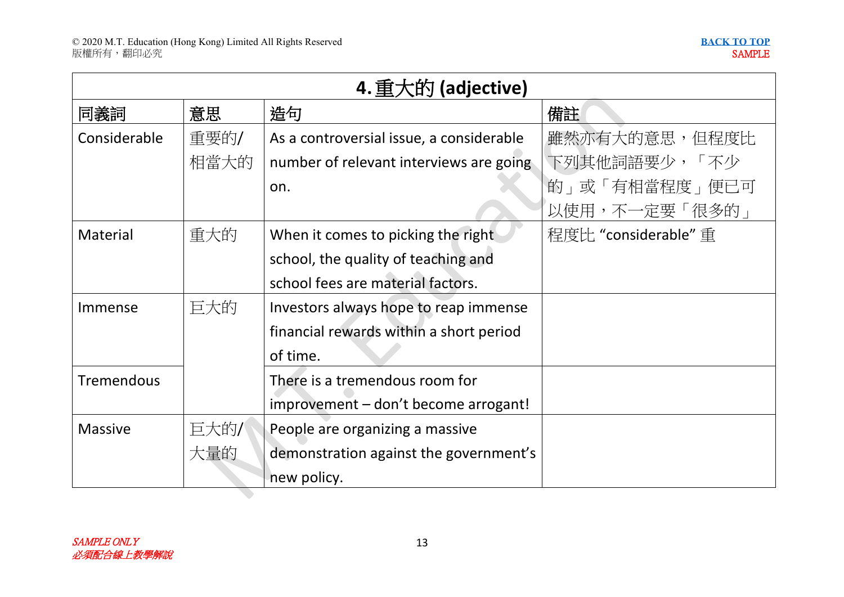|                   | 4. 重大的 (adjective) |                                          |                      |  |  |
|-------------------|--------------------|------------------------------------------|----------------------|--|--|
| 同義詞               | 意思                 | 造句                                       | 備註                   |  |  |
| Considerable      | 重要的/               | As a controversial issue, a considerable | 雖然亦有大的意思,但程度比        |  |  |
|                   | 相當大的               | number of relevant interviews are going  | 下列其他詞語要少,「不少         |  |  |
|                   |                    | on.                                      | 的」或「有相當程度」便已可        |  |  |
|                   |                    |                                          | 以使用,不一定要「很多的」        |  |  |
| Material          | 重大的                | When it comes to picking the right       | 程度比 "considerable" 重 |  |  |
|                   |                    | school, the quality of teaching and      |                      |  |  |
|                   |                    | school fees are material factors.        |                      |  |  |
| Immense           | 巨大的                | Investors always hope to reap immense    |                      |  |  |
|                   |                    | financial rewards within a short period  |                      |  |  |
|                   |                    | of time.                                 |                      |  |  |
| <b>Tremendous</b> |                    | There is a tremendous room for           |                      |  |  |
|                   |                    | improvement - don't become arrogant!     |                      |  |  |
| <b>Massive</b>    | 巨大的/               | People are organizing a massive          |                      |  |  |
|                   | 大量的                | demonstration against the government's   |                      |  |  |
|                   |                    | new policy.                              |                      |  |  |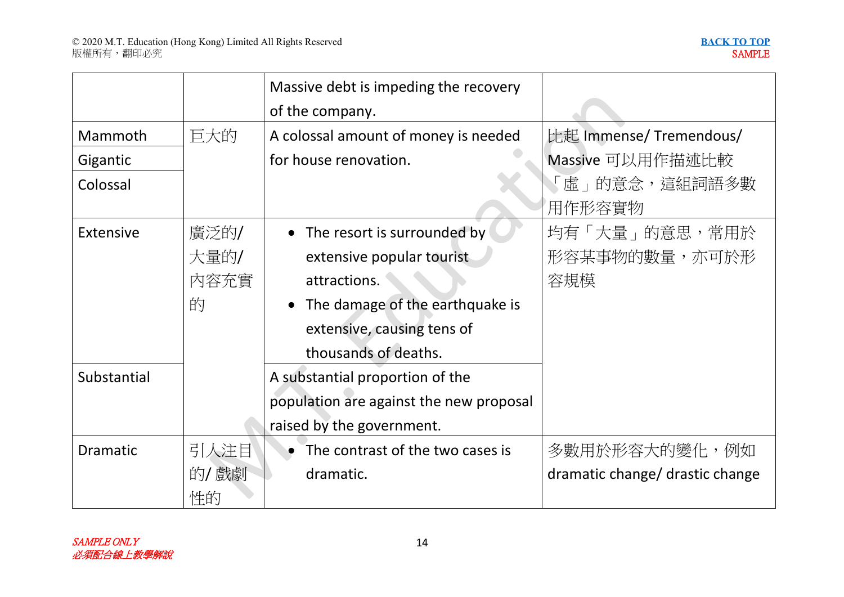|                  |      | Massive debt is impeding the recovery   |                                 |
|------------------|------|-----------------------------------------|---------------------------------|
|                  |      | of the company.                         |                                 |
| Mammoth          | 巨大的  | A colossal amount of money is needed    | 比起 Immense/ Tremendous/         |
| Gigantic         |      | for house renovation.                   | Massive 可以用作描述比較                |
| Colossal         |      |                                         | 「虛」的意念,這組詞語多數                   |
|                  |      |                                         | 用作形容實物                          |
| <b>Extensive</b> | 廣泛的/ | • The resort is surrounded by           | 均有「大量」的意思,常用於                   |
|                  | 大量的/ | extensive popular tourist               | 形容某事物的數量,亦可於形                   |
|                  | 内容充實 | attractions.                            | 容規模                             |
|                  | 的    | • The damage of the earthquake is       |                                 |
|                  |      | extensive, causing tens of              |                                 |
|                  |      | thousands of deaths.                    |                                 |
| Substantial      |      | A substantial proportion of the         |                                 |
|                  |      | population are against the new proposal |                                 |
|                  |      | raised by the government.               |                                 |
| <b>Dramatic</b>  | 引人注目 | The contrast of the two cases is        | 多數用於形容大的變化,例如                   |
|                  | 的/戲劇 | dramatic.                               | dramatic change/ drastic change |
|                  | 性的   |                                         |                                 |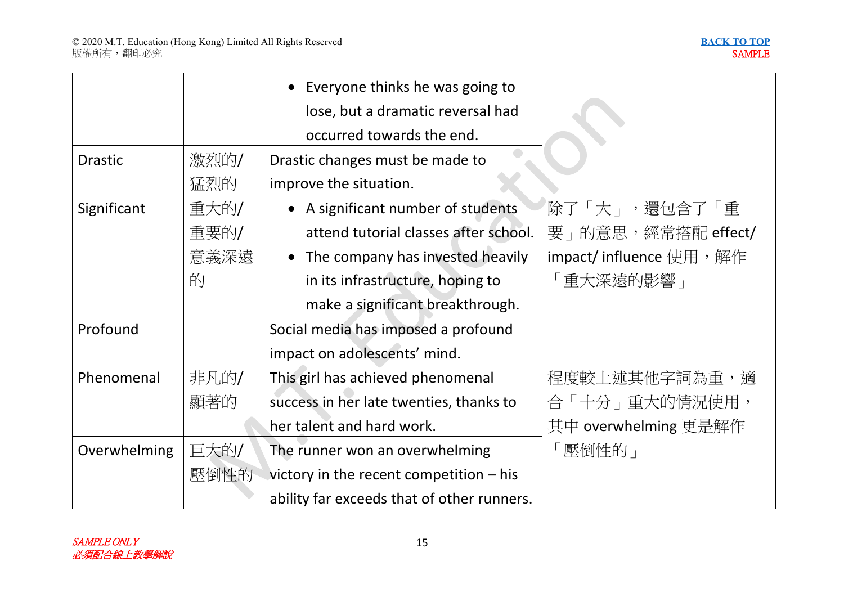|                |      | • Everyone thinks he was going to          |                         |
|----------------|------|--------------------------------------------|-------------------------|
|                |      | lose, but a dramatic reversal had          |                         |
|                |      | occurred towards the end.                  |                         |
| <b>Drastic</b> | 激烈的/ | Drastic changes must be made to            |                         |
|                | 猛烈的  | improve the situation.                     |                         |
| Significant    | 重大的/ | • A significant number of students         | 除了「大」,還包含了「重            |
|                | 重要的/ | attend tutorial classes after school.      | 要」的意思,經常搭配 effect/      |
|                | 意義深遠 | • The company has invested heavily         | impact/ influence 使用,解作 |
| 的              |      | in its infrastructure, hoping to           | 「重大深遠的影響」               |
|                |      | make a significant breakthrough.           |                         |
| Profound       |      | Social media has imposed a profound        |                         |
|                |      | impact on adolescents' mind.               |                         |
| Phenomenal     | 非凡的/ | This girl has achieved phenomenal          | 程度較上述其他字詞為重,適           |
|                | 顯著的  | success in her late twenties, thanks to    | 合「十分」重大的情況使用,           |
|                |      | her talent and hard work.                  | 其中 overwhelming 更是解作    |
| Overwhelming   | 巨大的/ | The runner won an overwhelming             | 壓倒性的」                   |
|                | 壓倒性的 | victory in the recent competition - his    |                         |
|                |      | ability far exceeds that of other runners. |                         |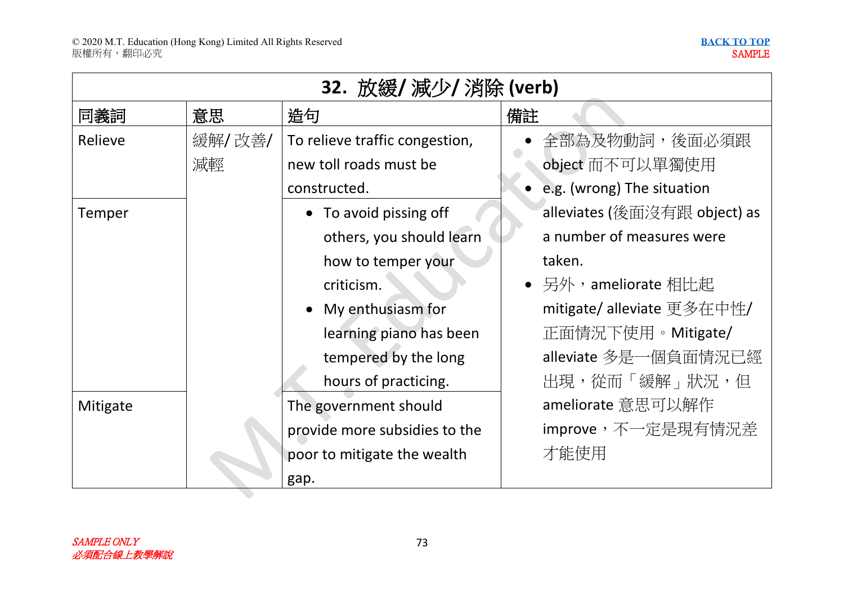$\blacktriangledown$ 

| 32. 放緩/ 減少/ 消除 (verb) |        |                                |                              |  |
|-----------------------|--------|--------------------------------|------------------------------|--|
| 同義詞                   | 意思     | 造句                             | 備註                           |  |
| Relieve               | 緩解/改善/ | To relieve traffic congestion, | 全部為及物動詞,後面必須跟                |  |
|                       | 減輕     | new toll roads must be         | object 而不可以單獨使用              |  |
|                       |        | constructed.                   | • e.g. (wrong) The situation |  |
| Temper                |        | To avoid pissing off           | alleviates (後面沒有跟 object) as |  |
|                       |        | others, you should learn       | a number of measures were    |  |
|                       |        | how to temper your             | taken.                       |  |
|                       |        | criticism.                     | • 另外,ameliorate 相比起          |  |
|                       |        | My enthusiasm for<br>$\bullet$ | mitigate/ alleviate 更多在中性/   |  |
|                       |        | learning piano has been        | 正面情況下使用。Mitigate/            |  |
|                       |        | tempered by the long           | alleviate 多是一個負面情況已經         |  |
|                       |        | hours of practicing.           | 出現,從而「緩解」狀況,但                |  |
| Mitigate              |        | The government should          | ameliorate 意思可以解作            |  |
|                       |        | provide more subsidies to the  | improve,不一定是現有情況差            |  |
|                       |        | poor to mitigate the wealth    | 才能使用                         |  |
|                       |        | gap.                           |                              |  |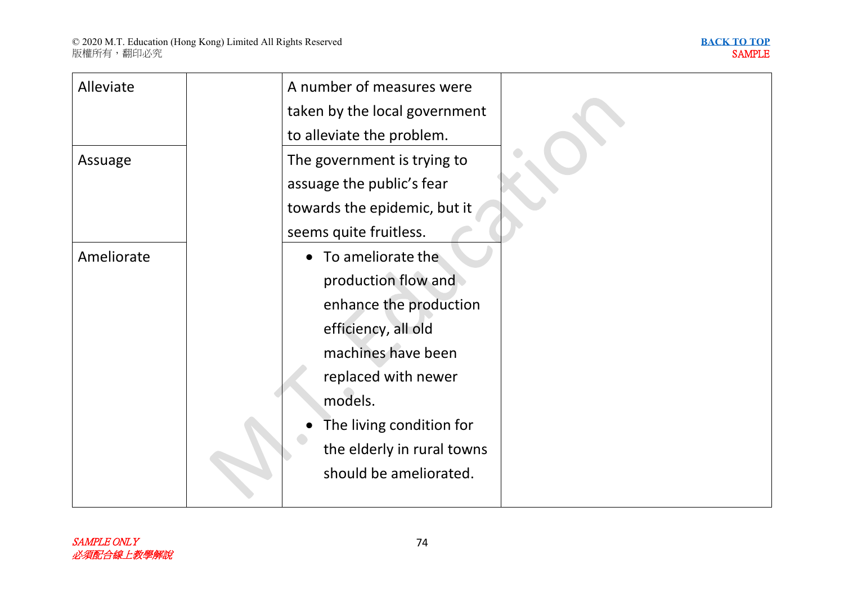

| Alleviate  | A number of measures were      |  |
|------------|--------------------------------|--|
|            | taken by the local government  |  |
|            | to alleviate the problem.      |  |
| Assuage    | The government is trying to    |  |
|            | assuage the public's fear      |  |
|            | towards the epidemic, but it   |  |
|            | seems quite fruitless.         |  |
| Ameliorate | To ameliorate the<br>$\bullet$ |  |
|            | production flow and            |  |
|            | enhance the production         |  |
|            | efficiency, all old            |  |
|            | machines have been             |  |
|            | replaced with newer            |  |
|            | models.                        |  |
|            | The living condition for       |  |
|            | the elderly in rural towns     |  |
|            | should be ameliorated.         |  |
|            |                                |  |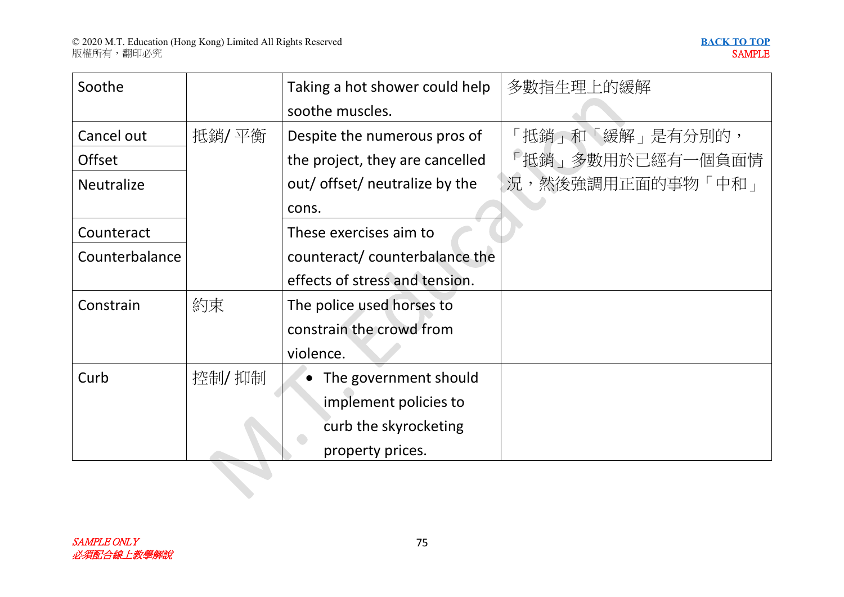| Soothe            |        | Taking a hot shower could help  | 多數指生理上的緩解        |
|-------------------|--------|---------------------------------|------------------|
|                   |        | soothe muscles.                 |                  |
| Cancel out        | 抵銷/ 平衡 | Despite the numerous pros of    | 「抵銷」和「緩解」是有分別的,  |
| <b>Offset</b>     |        | the project, they are cancelled | 「抵銷」多數用於已經有一個負面情 |
| <b>Neutralize</b> |        | out/ offset/ neutralize by the  | 況,然後強調用正面的事物「中和」 |
|                   |        | cons.                           |                  |
| Counteract        |        | These exercises aim to          |                  |
| Counterbalance    |        | counteract/ counterbalance the  |                  |
|                   |        | effects of stress and tension.  |                  |
| Constrain         | 約束     | The police used horses to       |                  |
|                   |        | constrain the crowd from        |                  |
|                   |        | violence.                       |                  |
| Curb              | 控制/抑制  | The government should           |                  |
|                   |        | implement policies to           |                  |
|                   |        | curb the skyrocketing           |                  |
|                   |        | property prices.                |                  |
|                   |        |                                 |                  |